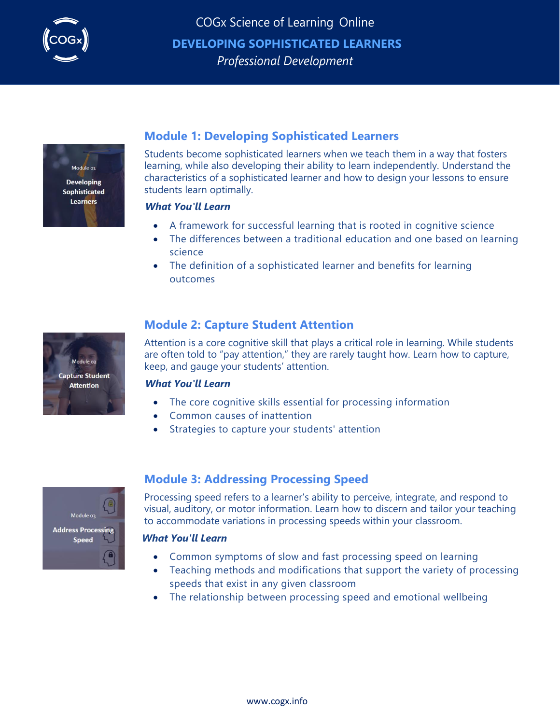



# **Module 1: Developing Sophisticated Learners**

Students become sophisticated learners when we teach them in a way that fosters learning, while also developing their ability to learn independently. Understand the characteristics of a sophisticated learner and how to design your lessons to ensure students learn optimally.

## *What You'll Learn*

- A framework for successful learning that is rooted in cognitive science
- The differences between a traditional education and one based on learning science
- The definition of a sophisticated learner and benefits for learning outcomes



# **Module 2: Capture Student Attention**

Attention is a core cognitive skill that plays a critical role in learning. While students are often told to "pay attention," they are rarely taught how. Learn how to capture, keep, and gauge your students' attention.

## *What You'll Learn*

- The core cognitive skills essential for processing information
- Common causes of inattention
- Strategies to capture your students' attention



# **Module 3: Addressing Processing Speed**

Processing speed refers to a learner's ability to perceive, integrate, and respond to visual, auditory, or motor information. Learn how to discern and tailor your teaching to accommodate variations in processing speeds within your classroom.

## *What You'll Learn*

- Common symptoms of slow and fast processing speed on learning
- Teaching methods and modifications that support the variety of processing speeds that exist in any given classroom
- The relationship between processing speed and emotional wellbeing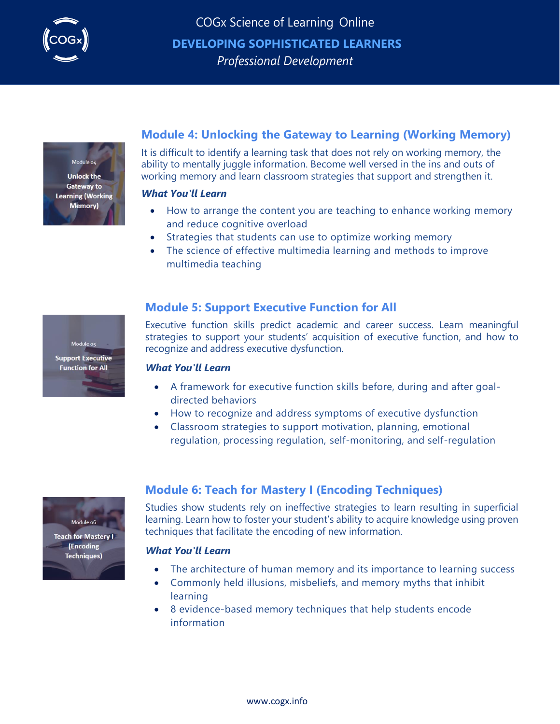



Module os **Support Executive Function for All** 

# **Module 4: Unlocking the Gateway to Learning (Working Memory)**

It is difficult to identify a learning task that does not rely on working memory, the ability to mentally juggle information. Become well versed in the ins and outs of working memory and learn classroom strategies that support and strengthen it.

### *What You'll Learn*

- How to arrange the content you are teaching to enhance working memory and reduce cognitive overload
- Strategies that students can use to optimize working memory
- The science of effective multimedia learning and methods to improve multimedia teaching

## **Module 5: Support Executive Function for All**

Executive function skills predict academic and career success. Learn meaningful strategies to support your students' acquisition of executive function, and how to recognize and address executive dysfunction.

### *What You'll Learn*

- A framework for executive function skills before, during and after goaldirected behaviors
- How to recognize and address symptoms of executive dysfunction
- Classroom strategies to support motivation, planning, emotional regulation, processing regulation, self-monitoring, and self-regulation



(Encoding **Techniques)** 

# **Module 6: Teach for Mastery I (Encoding Techniques)**

Studies show students rely on ineffective strategies to learn resulting in superficial learning. Learn how to foster your student's ability to acquire knowledge using proven techniques that facilitate the encoding of new information.

## *What You'll Learn*

- The architecture of human memory and its importance to learning success
- Commonly held illusions, misbeliefs, and memory myths that inhibit learning
- 8 evidence-based memory techniques that help students encode information

[www.cogx.info](http://www.cogx.info/)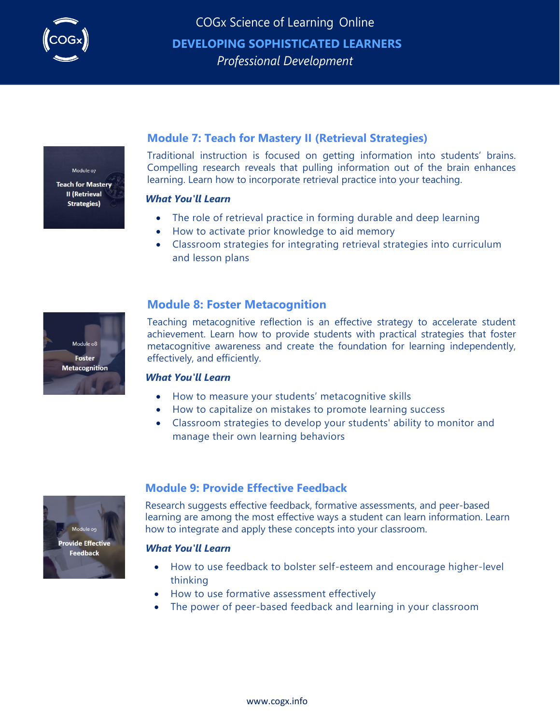



## **Module 7: Teach for Mastery II (Retrieval Strategies)**

Traditional instruction is focused on getting information into students' brains. Compelling research reveals that pulling information out of the brain enhances learning. Learn how to incorporate retrieval practice into your teaching.

### *What You'll Learn*

- The role of retrieval practice in forming durable and deep learning
- How to activate prior knowledge to aid memory
- Classroom strategies for integrating retrieval strategies into curriculum and lesson plans



## **Module 8: Foster Metacognition**

Teaching metacognitive reflection is an effective strategy to accelerate student achievement. Learn how to provide students with practical strategies that foster metacognitive awareness and create the foundation for learning independently, effectively, and efficiently.

## *What You'll Learn*

- How to measure your students' metacognitive skills
- How to capitalize on mistakes to promote learning success
- Classroom strategies to develop your students' ability to monitor and manage their own learning behaviors



## **Module 9: Provide Effective Feedback**

Research suggests effective feedback, formative assessments, and peer-based learning are among the most effective ways a student can learn information. Learn how to integrate and apply these concepts into your classroom.

## *What You'll Learn*

- How to use feedback to bolster self-esteem and encourage higher-level thinking
- How to use formative assessment effectively
- The power of peer-based feedback and learning in your classroom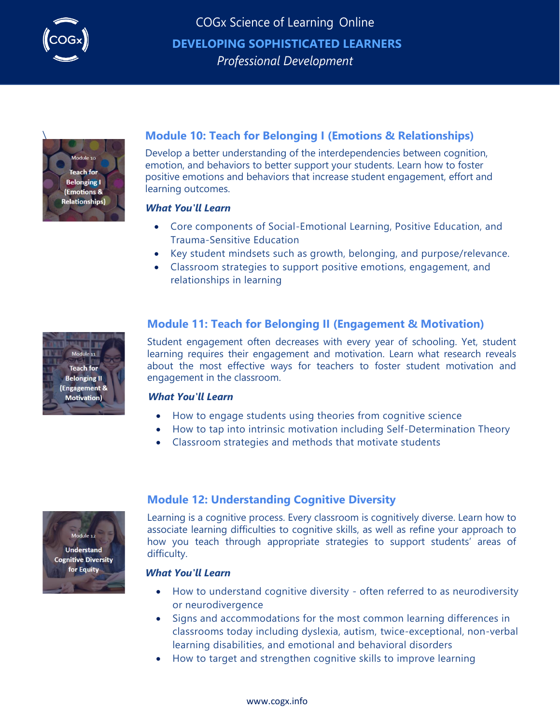



# \ **Module 10: Teach for Belonging I (Emotions & Relationships)**

Develop a better understanding of the interdependencies between cognition, emotion, and behaviors to better support your students. Learn how to foster positive emotions and behaviors that increase student engagement, effort and learning outcomes.

## *What You'll Learn*

- Core components of Social-Emotional Learning, Positive Education, and Trauma-Sensitive Education
- Key student mindsets such as growth, belonging, and purpose/relevance.
- Classroom strategies to support positive emotions, engagement, and relationships in learning

## **Module 11: Teach for Belonging II (Engagement & Motivation)**

Student engagement often decreases with every year of schooling. Yet, student learning requires their engagement and motivation. Learn what research reveals about the most effective ways for teachers to foster student motivation and engagement in the classroom.

## *What You'll Learn*

- How to engage students using theories from cognitive science
- How to tap into intrinsic motivation including Self-Determination Theory
- Classroom strategies and methods that motivate students



## **Module 12: Understanding Cognitive Diversity**

Learning is a cognitive process. Every classroom is cognitively diverse. Learn how to associate learning difficulties to cognitive skills, as well as refine your approach to how you teach through appropriate strategies to support students' areas of difficulty.

## *What You'll Learn*

- How to understand cognitive diversity often referred to as neurodiversity or neurodivergence
- Signs and accommodations for the most common learning differences in classrooms today including dyslexia, autism, twice-exceptional, non-verbal learning disabilities, and emotional and behavioral disorders
- How to target and strengthen cognitive skills to improve learning

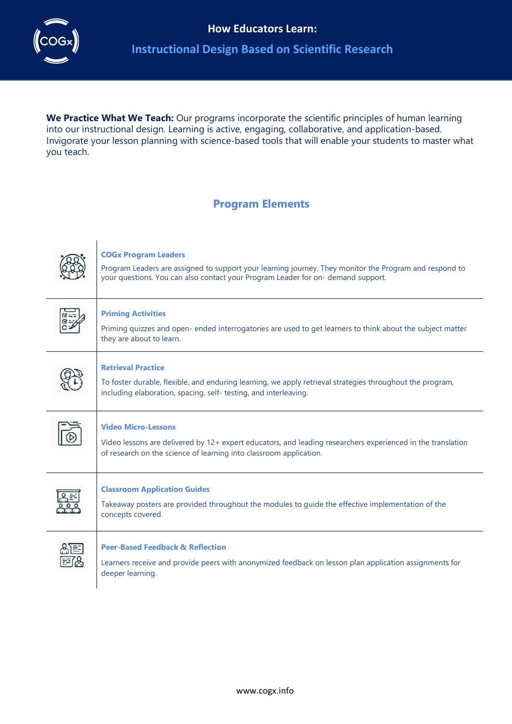

# **Instructional Design Based on Scientific Research**

We Practice What We Teach: Our programs incorporate the scientific principles of human learning into our instructional design. Learning is active, engaging, collaborative, and application-based. Invigorate your lesson planning with science-based tools that will enable your students to master what you teach.

# **Program Elements**



### **COGx Program Leaders**

Program Leaders are assigned to support your learning journey. They monitor the Program and respond to your questions. You can also contact your Program Leader for on- demand support.



#### **Priming Activities**

Priming quizzes and open- ended interrogatories are used to get learners to think about the subject matter they are about to learn.



#### **Retrieval Practice**

To foster durable, flexible, and enduring learning, we apply retrieval strategies throughout the program, including elaboration, spacing, self- testing, and interleaving.



### **Video Micro-Lessons**

Video lessons are delivered by 12+ expert educators, and leading researchers experienced in the translation of research on the science of learning into classroom application.



#### **Classroom Application Guides**

Takeaway posters are provided throughout the modules to guide the effective implementation of the concepts covered.



#### **Peer-Based Feedback & Reflection**

Learners receive and provide peers with anonymized feedback on lesson plan application assignments for deeper learning.